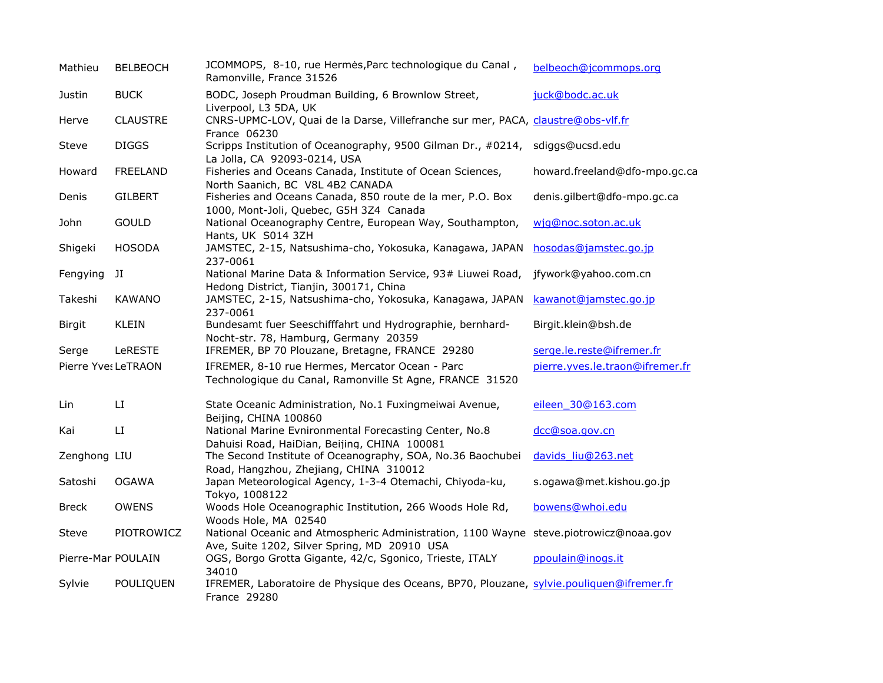| Mathieu             | <b>BELBEOCH</b> | JCOMMOPS, 8-10, rue Hermès, Parc technologique du Canal,<br>Ramonville, France 31526                                                  | belbeoch@jcommops.org           |
|---------------------|-----------------|---------------------------------------------------------------------------------------------------------------------------------------|---------------------------------|
| Justin              | <b>BUCK</b>     | BODC, Joseph Proudman Building, 6 Brownlow Street,<br>Liverpool, L3 5DA, UK                                                           | juck@bodc.ac.uk                 |
| Herve               | <b>CLAUSTRE</b> | CNRS-UPMC-LOV, Quai de la Darse, Villefranche sur mer, PACA, claustre@obs-vlf.fr<br>France 06230                                      |                                 |
| Steve               | <b>DIGGS</b>    | Scripps Institution of Oceanography, 9500 Gilman Dr., #0214, sdiggs@ucsd.edu<br>La Jolla, CA 92093-0214, USA                          |                                 |
| Howard              | <b>FREELAND</b> | Fisheries and Oceans Canada, Institute of Ocean Sciences,<br>North Saanich, BC V8L 4B2 CANADA                                         | howard.freeland@dfo-mpo.gc.ca   |
| Denis               | <b>GILBERT</b>  | Fisheries and Oceans Canada, 850 route de la mer, P.O. Box<br>1000, Mont-Joli, Quebec, G5H 3Z4 Canada                                 | denis.gilbert@dfo-mpo.gc.ca     |
| John                | <b>GOULD</b>    | National Oceanography Centre, European Way, Southampton,<br>Hants, UK S014 3ZH                                                        | wjq@noc.soton.ac.uk             |
| Shigeki             | <b>HOSODA</b>   | JAMSTEC, 2-15, Natsushima-cho, Yokosuka, Kanagawa, JAPAN<br>237-0061                                                                  | hosodas@jamstec.go.jp           |
| Fengying            | JI              | National Marine Data & Information Service, 93# Liuwei Road,<br>Hedong District, Tianjin, 300171, China                               | jfywork@yahoo.com.cn            |
| Takeshi             | <b>KAWANO</b>   | JAMSTEC, 2-15, Natsushima-cho, Yokosuka, Kanagawa, JAPAN<br>237-0061                                                                  | kawanot@jamstec.go.jp           |
| <b>Birgit</b>       | <b>KLEIN</b>    | Bundesamt fuer Seeschifffahrt und Hydrographie, bernhard-<br>Nocht-str. 78, Hamburg, Germany 20359                                    | Birgit.klein@bsh.de             |
| Serge               | LeRESTE         | IFREMER, BP 70 Plouzane, Bretagne, FRANCE 29280                                                                                       | serge.le.reste@ifremer.fr       |
| Pierre YvesLeTRAON  |                 | IFREMER, 8-10 rue Hermes, Mercator Ocean - Parc<br>Technologique du Canal, Ramonville St Agne, FRANCE 31520                           | pierre.yves.le.traon@ifremer.fr |
| Lin                 | LI.             | State Oceanic Administration, No.1 Fuxingmeiwai Avenue,<br>Beijing, CHINA 100860                                                      | eileen 30@163.com               |
| Kai                 | LI              | National Marine Evnironmental Forecasting Center, No.8<br>Dahuisi Road, HaiDian, Beijing, CHINA 100081                                | dcc@soa.gov.cn                  |
| Zenghong LIU        |                 | The Second Institute of Oceanography, SOA, No.36 Baochubei<br>Road, Hangzhou, Zhejiang, CHINA 310012                                  | davids liu@263.net              |
| Satoshi             | <b>OGAWA</b>    | Japan Meteorological Agency, 1-3-4 Otemachi, Chiyoda-ku,<br>Tokyo, 1008122                                                            | s.ogawa@met.kishou.go.jp        |
| <b>Breck</b>        | <b>OWENS</b>    | Woods Hole Oceanographic Institution, 266 Woods Hole Rd,<br>Woods Hole, MA 02540                                                      | bowens@whoi.edu                 |
| Steve               | PIOTROWICZ      | National Oceanic and Atmospheric Administration, 1100 Wayne steve.piotrowicz@noaa.gov<br>Ave, Suite 1202, Silver Spring, MD 20910 USA |                                 |
| Pierre-Mari POULAIN |                 | OGS, Borgo Grotta Gigante, 42/c, Sgonico, Trieste, ITALY<br>34010                                                                     | ppoulain@inogs.it               |
| Sylvie              | POULIQUEN       | IFREMER, Laboratoire de Physique des Oceans, BP70, Plouzane, sylvie.pouliquen@ifremer.fr<br>France 29280                              |                                 |